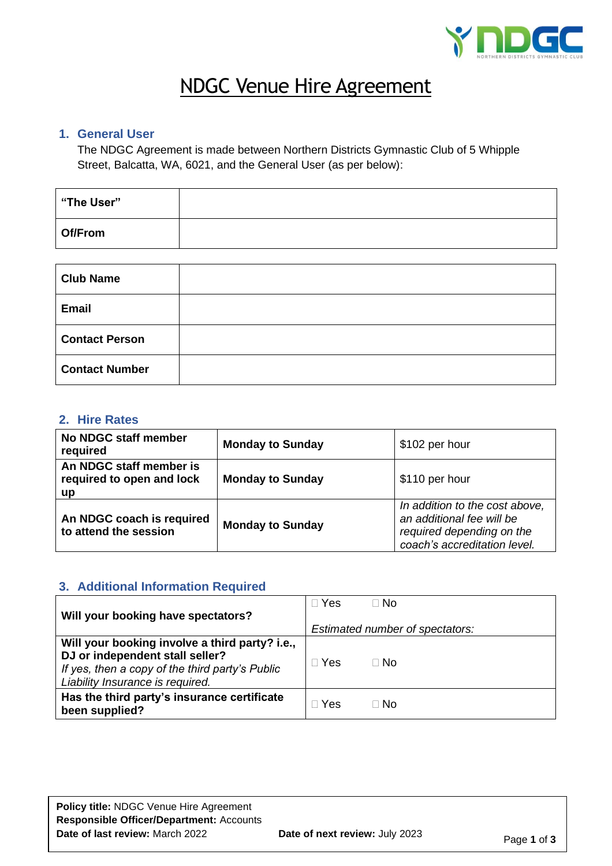

# NDGC Venue Hire Agreement

### **1. General User**

The NDGC Agreement is made between Northern Districts Gymnastic Club of 5 Whipple Street, Balcatta, WA, 6021, and the General User (as per below):

| "The User" |  |
|------------|--|
| Of/From    |  |

| <b>Club Name</b>      |  |
|-----------------------|--|
| <b>Email</b>          |  |
| <b>Contact Person</b> |  |
| <b>Contact Number</b> |  |

## **2. Hire Rates**

| No NDGC staff member<br>required                                  | <b>Monday to Sunday</b> | \$102 per hour                                                                                                           |
|-------------------------------------------------------------------|-------------------------|--------------------------------------------------------------------------------------------------------------------------|
| An NDGC staff member is<br>required to open and lock<br><b>up</b> | <b>Monday to Sunday</b> | \$110 per hour                                                                                                           |
| An NDGC coach is required<br>to attend the session                | <b>Monday to Sunday</b> | In addition to the cost above,<br>an additional fee will be<br>required depending on the<br>coach's accreditation level. |

## **3. Additional Information Required**

| Will your booking have spectators?                                                                                                                                       | Yes › | ∃ No                                    |
|--------------------------------------------------------------------------------------------------------------------------------------------------------------------------|-------|-----------------------------------------|
| Will your booking involve a third party? i.e.,<br>DJ or independent stall seller?<br>If yes, then a copy of the third party's Public<br>Liability Insurance is required. | ∃ Yes | Estimated number of spectators:<br>⊟ No |
|                                                                                                                                                                          |       |                                         |
| Has the third party's insurance certificate<br>been supplied?                                                                                                            | Yes   | ∃ No                                    |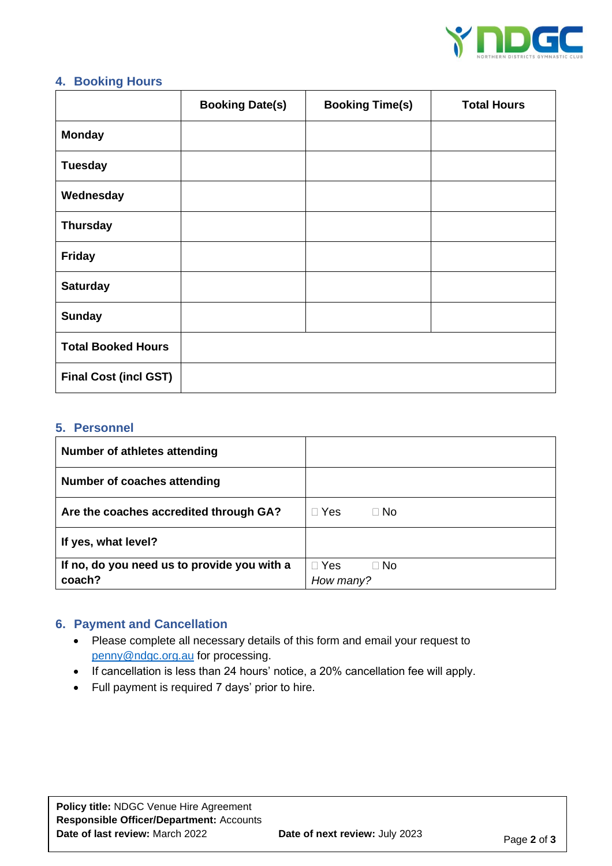

#### **4. Booking Hours**

|                              | <b>Booking Date(s)</b> | <b>Booking Time(s)</b> | <b>Total Hours</b> |
|------------------------------|------------------------|------------------------|--------------------|
| <b>Monday</b>                |                        |                        |                    |
| <b>Tuesday</b>               |                        |                        |                    |
| Wednesday                    |                        |                        |                    |
| <b>Thursday</b>              |                        |                        |                    |
| <b>Friday</b>                |                        |                        |                    |
| <b>Saturday</b>              |                        |                        |                    |
| <b>Sunday</b>                |                        |                        |                    |
| <b>Total Booked Hours</b>    |                        |                        |                    |
| <b>Final Cost (incl GST)</b> |                        |                        |                    |

#### **5. Personnel**

| Number of athletes attending                |                         |
|---------------------------------------------|-------------------------|
| Number of coaches attending                 |                         |
| Are the coaches accredited through GA?      | $\Box$ Yes<br>$\Box$ No |
| If yes, what level?                         |                         |
| If no, do you need us to provide you with a | $\Box$ Yes<br>$\Box$ No |
| coach?                                      | How many?               |

# **6. Payment and Cancellation**

- Please complete all necessary details of this form and email your request to [penny@ndgc.org.au](mailto:penny@ndgc.org.au) for processing.
- If cancellation is less than 24 hours' notice, a 20% cancellation fee will apply.
- Full payment is required 7 days' prior to hire.